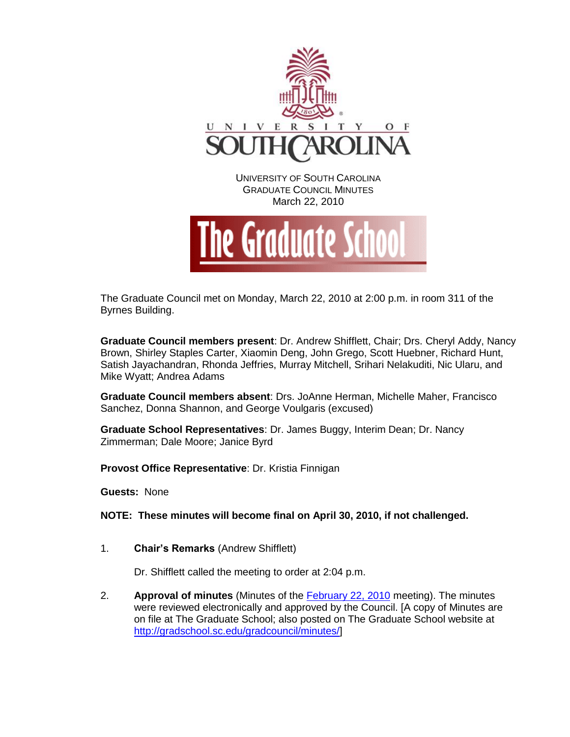

The Graduate Council met on Monday, March 22, 2010 at 2:00 p.m. in room 311 of the Byrnes Building.

**Graduate Council members present**: Dr. Andrew Shifflett, Chair; Drs. Cheryl Addy, Nancy Brown, Shirley Staples Carter, Xiaomin Deng, John Grego, Scott Huebner, Richard Hunt, Satish Jayachandran, Rhonda Jeffries, Murray Mitchell, Srihari Nelakuditi, Nic Ularu, and Mike Wyatt; Andrea Adams

**Graduate Council members absent**: Drs. JoAnne Herman, Michelle Maher, Francisco Sanchez, Donna Shannon, and George Voulgaris (excused)

**Graduate School Representatives**: Dr. James Buggy, Interim Dean; Dr. Nancy Zimmerman; Dale Moore; Janice Byrd

**Provost Office Representative**: Dr. Kristia Finnigan

**Guests:** None

**NOTE: These minutes will become final on April 30, 2010, if not challenged.**

1. **Chair's Remarks** (Andrew Shifflett)

Dr. Shifflett called the meeting to order at 2:04 p.m.

2. **Approval of minutes** (Minutes of the [February 22, 2010](http://gradschool.sc.edu/gradcouncil/minutes/GCMinutes%20022210.pdf) meeting). The minutes were reviewed electronically and approved by the Council. [A copy of Minutes are on file at The Graduate School; also posted on The Graduate School website at [http://gradschool.sc.edu/gradcouncil/minutes/\]](http://gradschool.sc.edu/gradcouncil/minutes/)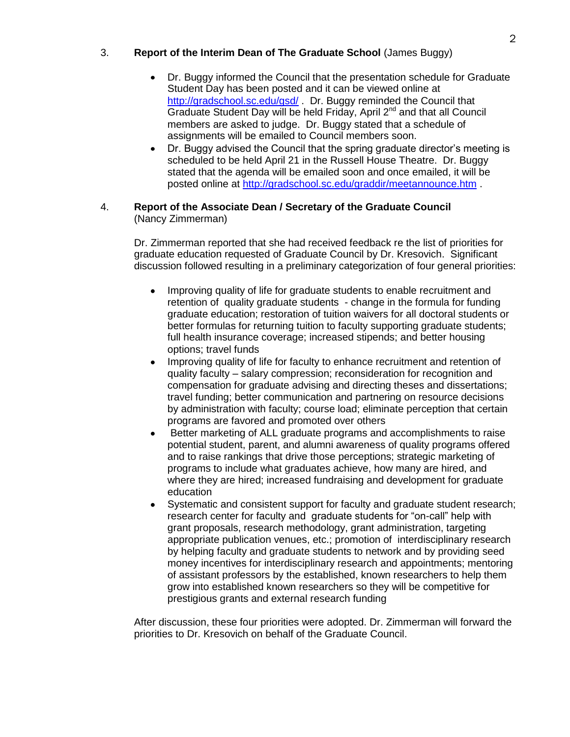# 3. **Report of the Interim Dean of The Graduate School** (James Buggy)

- Dr. Buggy informed the Council that the presentation schedule for Graduate Student Day has been posted and it can be viewed online at <http://gradschool.sc.edu/gsd/> . Dr. Buggy reminded the Council that Graduate Student Day will be held Friday, April 2<sup>nd</sup> and that all Council members are asked to judge. Dr. Buggy stated that a schedule of assignments will be emailed to Council members soon.
- Dr. Buggy advised the Council that the spring graduate director's meeting is scheduled to be held April 21 in the Russell House Theatre. Dr. Buggy stated that the agenda will be emailed soon and once emailed, it will be posted online at<http://gradschool.sc.edu/graddir/meetannounce.htm> .

## 4. **Report of the Associate Dean / Secretary of the Graduate Council**  (Nancy Zimmerman)

Dr. Zimmerman reported that she had received feedback re the list of priorities for graduate education requested of Graduate Council by Dr. Kresovich. Significant discussion followed resulting in a preliminary categorization of four general priorities:

- Improving quality of life for graduate students to enable recruitment and retention of quality graduate students - change in the formula for funding graduate education; restoration of tuition waivers for all doctoral students or better formulas for returning tuition to faculty supporting graduate students; full health insurance coverage; increased stipends; and better housing options; travel funds
- Improving quality of life for faculty to enhance recruitment and retention of quality faculty – salary compression; reconsideration for recognition and compensation for graduate advising and directing theses and dissertations; travel funding; better communication and partnering on resource decisions by administration with faculty; course load; eliminate perception that certain programs are favored and promoted over others
- Better marketing of ALL graduate programs and accomplishments to raise potential student, parent, and alumni awareness of quality programs offered and to raise rankings that drive those perceptions; strategic marketing of programs to include what graduates achieve, how many are hired, and where they are hired; increased fundraising and development for graduate education
- Systematic and consistent support for faculty and graduate student research; research center for faculty and graduate students for "on-call" help with grant proposals, research methodology, grant administration, targeting appropriate publication venues, etc.; promotion of interdisciplinary research by helping faculty and graduate students to network and by providing seed money incentives for interdisciplinary research and appointments; mentoring of assistant professors by the established, known researchers to help them grow into established known researchers so they will be competitive for prestigious grants and external research funding

After discussion, these four priorities were adopted. Dr. Zimmerman will forward the priorities to Dr. Kresovich on behalf of the Graduate Council.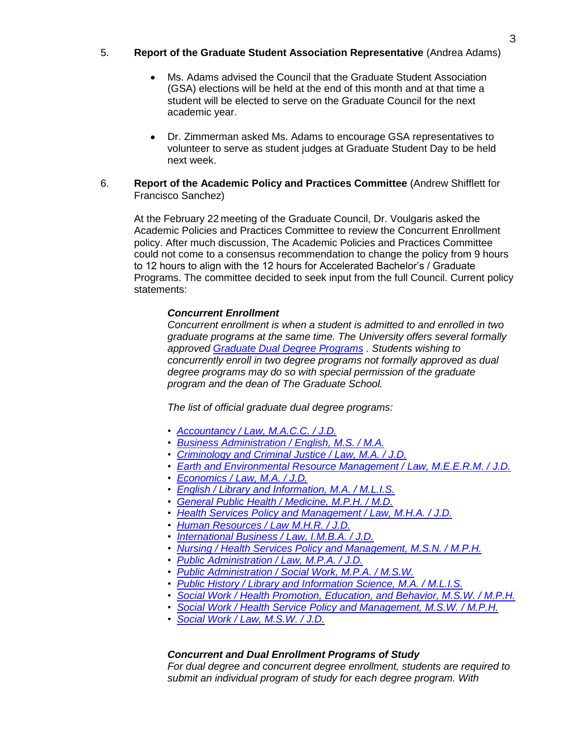# 5. **Report of the Graduate Student Association Representative** (Andrea Adams)

- Ms. Adams advised the Council that the Graduate Student Association (GSA) elections will be held at the end of this month and at that time a student will be elected to serve on the Graduate Council for the next academic year.
- Dr. Zimmerman asked Ms. Adams to encourage GSA representatives to volunteer to serve as student judges at Graduate Student Day to be held next week.
- 6. **Report of the Academic Policy and Practices Committee** (Andrew Shifflett for Francisco Sanchez)

At the February 22 meeting of the Graduate Council, Dr. Voulgaris asked the Academic Policies and Practices Committee to review the Concurrent Enrollment policy. After much discussion, The Academic Policies and Practices Committee could not come to a consensus recommendation to change the policy from 9 hours to 12 hours to align with the 12 hours for Accelerated Bachelor's / Graduate Programs. The committee decided to seek input from the full Council. Current policy statements:

## *Concurrent Enrollment*

*Concurrent enrollment is when a student is admitted to and enrolled in two graduate programs at the same time. The University offers several formally approved [Graduate Dual Degree Programs](http://bulletin.sc.edu/content.php?catoid=4&navoid=684) . Students wishing to concurrently enroll in two degree programs not formally approved as dual degree programs may do so with special permission of the graduate program and the dean of The Graduate School.*

*The list of official graduate dual degree programs:*

- *• [Accountancy / Law, M.A.C.C. / J.D.](http://bulletin.sc.edu/preview_program.php?catoid=4&poid=757&returnto=650)*
- *• [Business Administration / English, M.S. / M.A.](http://bulletin.sc.edu/preview_program.php?catoid=4&poid=781&returnto=650)*
- *• [Criminology and Criminal Justice / Law, M.A. / J.D.](http://bulletin.sc.edu/preview_program.php?catoid=4&poid=820&returnto=650)*
- *• [Earth and Environmental Resource Management / Law, M.E.E.R.M. / J.D.](http://bulletin.sc.edu/preview_program.php?catoid=4&poid=827&returnto=650)*
- *• [Economics / Law, M.A. / J.D.](http://bulletin.sc.edu/preview_program.php?catoid=4&poid=829&returnto=650)*
- *• [English / Library and Information, M.A. / M.L.I.S.](http://bulletin.sc.edu/preview_program.php?catoid=4&poid=846&returnto=650)*
- *• [General Public Health / Medicine, M.P.H. / M.D.](http://bulletin.sc.edu/preview_program.php?catoid=4&poid=866&returnto=650)*
- *• [Health Services Policy and Management / Law, M.H.A. / J.D.](http://bulletin.sc.edu/preview_program.php?catoid=4&poid=885&returnto=650)*
- *• [Human Resources / Law M.H.R. / J.D.](http://bulletin.sc.edu/preview_program.php?catoid=4&poid=895&returnto=650)*
- *• [International Business / Law, I.M.B.A. / J.D.](http://bulletin.sc.edu/preview_program.php?catoid=4&poid=899&returnto=650)*
- *• [Nursing / Health Services Policy and Management, M.S.N. / M.P.H.](http://bulletin.sc.edu/preview_program.php?catoid=4&poid=955&returnto=650)*
- *• [Public Administration / Law, M.P.A. / J.D.](http://bulletin.sc.edu/preview_program.php?catoid=4&poid=982&returnto=650)*
- *• [Public Administration / Social Work, M.P.A. / M.S.W.](http://bulletin.sc.edu/preview_program.php?catoid=4&poid=983&returnto=650)*
- *• [Public History / Library and Information Science, M.A. / M.L.I.S.](http://bulletin.sc.edu/preview_program.php?catoid=4&poid=986&returnto=650)*
- *• [Social Work / Health Promotion, Education, and Behavior, M.S.W. / M.P.H.](http://bulletin.sc.edu/preview_program.php?catoid=4&poid=998&returnto=650)*
- *• [Social Work / Health Service Policy and Management, M.S.W. / M.P.H.](http://bulletin.sc.edu/preview_program.php?catoid=4&poid=999&returnto=650)*
- *• [Social Work / Law, M.S.W. / J.D.](http://bulletin.sc.edu/preview_program.php?catoid=4&poid=1000&returnto=650)*

## *Concurrent and Dual Enrollment Programs of Study*

*For dual degree and concurrent degree enrollment, students are required to submit an individual program of study for each degree program. With*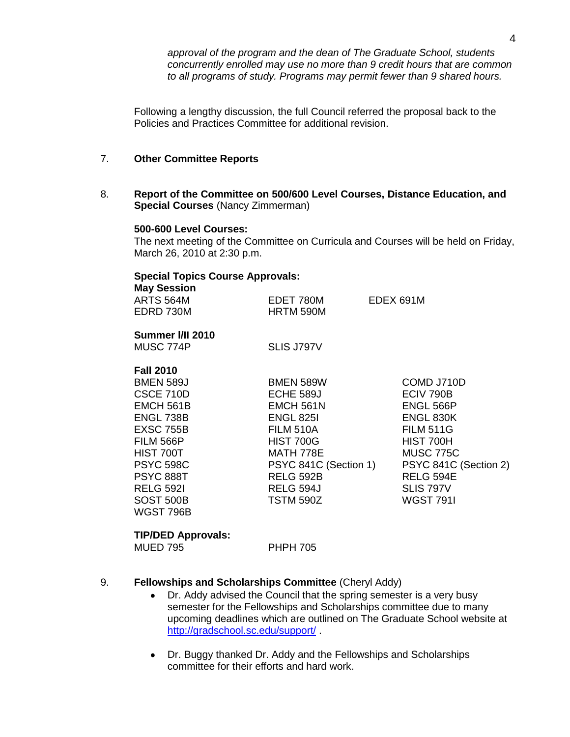*approval of the program and the dean of The Graduate School, students concurrently enrolled may use no more than 9 credit hours that are common to all programs of study. Programs may permit fewer than 9 shared hours.*

Following a lengthy discussion, the full Council referred the proposal back to the Policies and Practices Committee for additional revision.

## 7. **Other Committee Reports**

8. **Report of the Committee on 500/600 Level Courses, Distance Education, and Special Courses** (Nancy Zimmerman)

#### **500-600 Level Courses:**

The next meeting of the Committee on Curricula and Courses will be held on Friday, March 26, 2010 at 2:30 p.m.

# **Special Topics Course Approvals:**

| <b>Special Topics Course Approvals:</b> |                       |                       |
|-----------------------------------------|-----------------------|-----------------------|
| <b>May Session</b>                      |                       |                       |
| ARTS 564M                               | EDET 780M             | EDEX 691M             |
| EDRD 730M                               | HRTM 590M             |                       |
| Summer I/II 2010                        |                       |                       |
| MUSC 774P                               | SLIS J797V            |                       |
| <b>Fall 2010</b>                        |                       |                       |
| <b>BMEN 589J</b>                        | BMEN 589W             | COMD J710D            |
| <b>CSCE 710D</b>                        | ECHE 589J             | ECIV 790B             |
| EMCH 561B                               | EMCH 561N             | ENGL 566P             |
| ENGL 738B                               | ENGL 825I             | ENGL 830K             |
| <b>EXSC 755B</b>                        | FILM 510A             | <b>FILM 511G</b>      |
| <b>FILM 566P</b>                        | <b>HIST 700G</b>      | HIST 700H             |
| HIST 700T                               | MATH 778E             | MUSC 775C             |
| <b>PSYC 598C</b>                        | PSYC 841C (Section 1) | PSYC 841C (Section 2) |
| <b>PSYC 888T</b>                        | <b>RELG 592B</b>      | <b>RELG 594E</b>      |
| <b>RELG 5921</b>                        | RELG 594J             | <b>SLIS 797V</b>      |
| <b>SOST 500B</b>                        | TSTM 590Z             | <b>WGST 791I</b>      |
| WGST 796B                               |                       |                       |

# **TIP/DED Approvals:**

MUED 795 PHPH 705

## 9. **Fellowships and Scholarships Committee** (Cheryl Addy)

- Dr. Addy advised the Council that the spring semester is a very busy  $\bullet$ semester for the Fellowships and Scholarships committee due to many upcoming deadlines which are outlined on The Graduate School website at <http://gradschool.sc.edu/support/> .
- Dr. Buggy thanked Dr. Addy and the Fellowships and Scholarships committee for their efforts and hard work.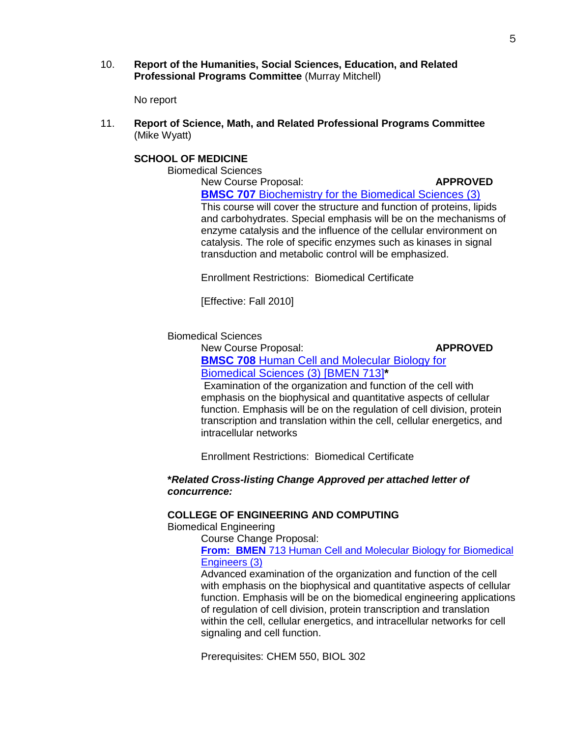10. **Report of the Humanities, Social Sciences, Education, and Related Professional Programs Committee** (Murray Mitchell)

No report

11. **Report of Science, Math, and Related Professional Programs Committee** (Mike Wyatt)

# **SCHOOL OF MEDICINE**

Biomedical Sciences

New Course Proposal: **APPROVED** 

**BMSC 707** [Biochemistry for the Biomedical Sciences \(3\)](http://gradschool.sc.edu/gradcouncil/09-10_Curricula/NCP%20BMSC%20707.pdf) This course will cover the structure and function of proteins, lipids and carbohydrates. Special emphasis will be on the mechanisms of enzyme catalysis and the influence of the cellular environment on catalysis. The role of specific enzymes such as kinases in signal transduction and metabolic control will be emphasized.

Enrollment Restrictions: Biomedical Certificate

[Effective: Fall 2010]

Biomedical Sciences

New Course Proposal: **APPROVED** 

**BMSC 708** [Human Cell and Molecular Biology for](http://gradschool.sc.edu/gradcouncil/09-10_Curricula/NCP%20BMSC%20708.pdf)  [Biomedical Sciences \(3\) \[BMEN 713\]](http://gradschool.sc.edu/gradcouncil/09-10_Curricula/NCP%20BMSC%20708.pdf)**\***

Examination of the organization and function of the cell with emphasis on the biophysical and quantitative aspects of cellular function. Emphasis will be on the regulation of cell division, protein transcription and translation within the cell, cellular energetics, and intracellular networks

Enrollment Restrictions: Biomedical Certificate

# **\****Related Cross-listing Change Approved per attached letter of concurrence:*

## **COLLEGE OF ENGINEERING AND COMPUTING**

Biomedical Engineering

Course Change Proposal:

**From: BMEN** [713 Human Cell and Molecular Biology for Biomedical](http://gradschool.sc.edu/gradcouncil/09-10_Curricula/NCP%20BMSC%20708.pdf)  [Engineers \(3\)](http://gradschool.sc.edu/gradcouncil/09-10_Curricula/NCP%20BMSC%20708.pdf)

Advanced examination of the organization and function of the cell with emphasis on the biophysical and quantitative aspects of cellular function. Emphasis will be on the biomedical engineering applications of regulation of cell division, protein transcription and translation within the cell, cellular energetics, and intracellular networks for cell signaling and cell function.

Prerequisites: CHEM 550, BIOL 302